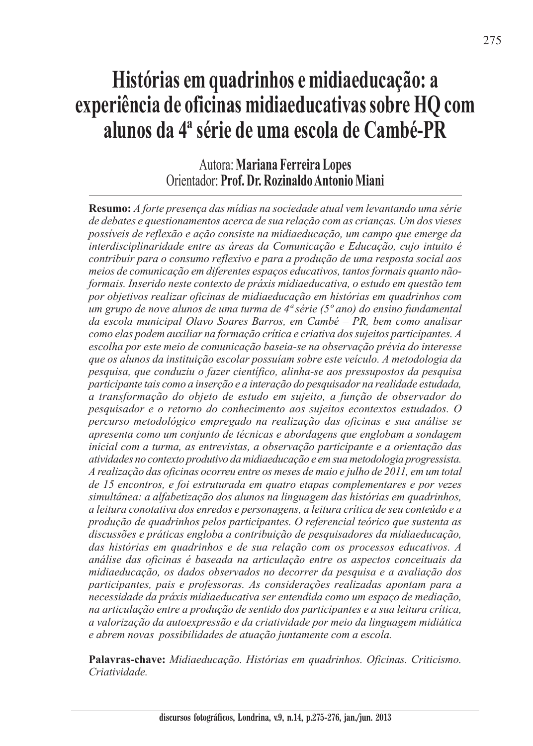## **Histórias em quadrinhos e midiaeducação: a experiência de oficinas midiaeducativas sobre HQ com alunos da 4ª série de uma escola de Cambé-PR**

## Autora: **Mariana Ferreira Lopes** Orientador: **Prof. Dr. Rozinaldo Antonio Miani**

**Resumo:** *A forte presença das mídias na sociedade atual vem levantando uma série de debates e questionamentos acerca de sua relação com as crianças. Um dos vieses possíveis de reflexão e ação consiste na midiaeducação, um campo que emerge da interdisciplinaridade entre as áreas da Comunicação e Educação, cujo intuito é contribuir para o consumo reflexivo e para a produção de uma resposta social aos meios de comunicação em diferentes espaços educativos, tantos formais quanto nãoformais. Inserido neste contexto de práxis midiaeducativa, o estudo em questão tem por objetivos realizar oficinas de midiaeducação em histórias em quadrinhos com um grupo de nove alunos de uma turma de 4ª série (5º ano) do ensino fundamental da escola municipal Olavo Soares Barros, em Cambé – PR, bem como analisar como elas podem auxiliar na formação crítica e criativa dos sujeitos participantes. A escolha por este meio de comunicação baseia-se na observação prévia do interesse que os alunos da instituição escolar possuíam sobre este veículo. A metodologia da pesquisa, que conduziu o fazer científico, alinha-se aos pressupostos da pesquisa participante tais como a inserção e a interação do pesquisador na realidade estudada, a transformação do objeto de estudo em sujeito, a função de observador do pesquisador e o retorno do conhecimento aos sujeitos econtextos estudados. O percurso metodológico empregado na realização das oficinas e sua análise se apresenta como um conjunto de técnicas e abordagens que englobam a sondagem inicial com a turma, as entrevistas, a observação participante e a orientação das atividades no contexto produtivo da midiaeducação e em sua metodologia progressista. A realização das oficinas ocorreu entre os meses de maio e julho de 2011, em um total de 15 encontros, e foi estruturada em quatro etapas complementares e por vezes simultânea: a alfabetização dos alunos na linguagem das histórias em quadrinhos, a leitura conotativa dos enredos e personagens, a leitura crítica de seu conteúdo e a produção de quadrinhos pelos participantes. O referencial teórico que sustenta as discussões e práticas engloba a contribuição de pesquisadores da midiaeducação, das histórias em quadrinhos e de sua relação com os processos educativos. A análise das oficinas é baseada na articulação entre os aspectos conceituais da midiaeducação, os dados observados no decorrer da pesquisa e a avaliação dos participantes, pais e professoras. As considerações realizadas apontam para a necessidade da práxis midiaeducativa ser entendida como um espaço de mediação, na articulação entre a produção de sentido dos participantes e a sua leitura crítica, a valorização da autoexpressão e da criatividade por meio da linguagem midiática e abrem novas possibilidades de atuação juntamente com a escola.*

**Palavras-chave:** *Midiaeducação. Histórias em quadrinhos. Oficinas. Criticismo. Criatividade.*